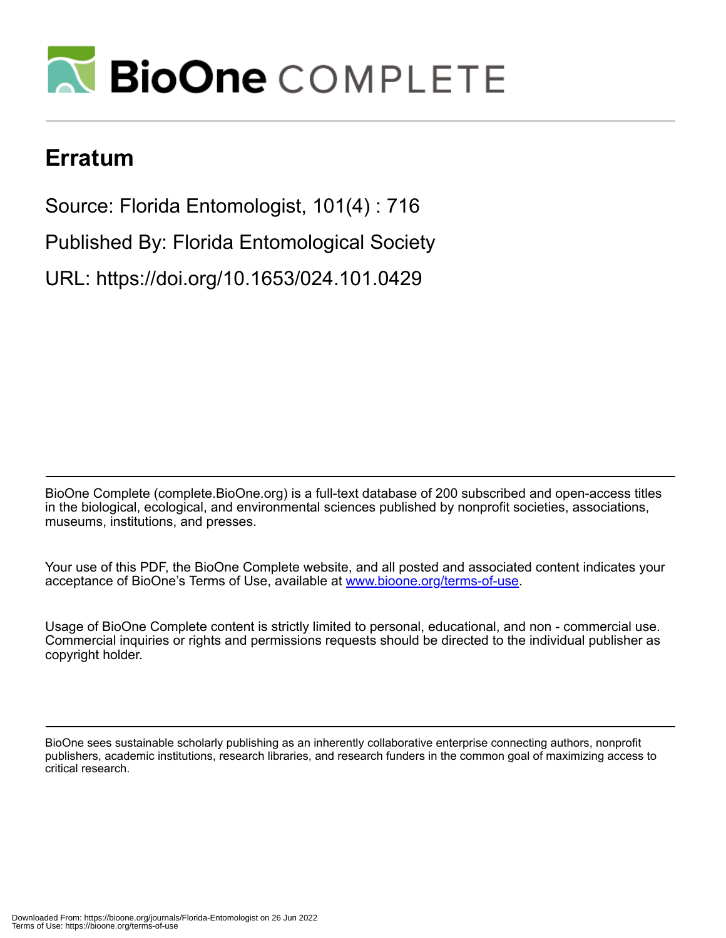

## **Erratum**

Source: Florida Entomologist, 101(4) : 716

Published By: Florida Entomological Society

URL: https://doi.org/10.1653/024.101.0429

BioOne Complete (complete.BioOne.org) is a full-text database of 200 subscribed and open-access titles in the biological, ecological, and environmental sciences published by nonprofit societies, associations, museums, institutions, and presses.

Your use of this PDF, the BioOne Complete website, and all posted and associated content indicates your acceptance of BioOne's Terms of Use, available at www.bioone.org/terms-of-use.

Usage of BioOne Complete content is strictly limited to personal, educational, and non - commercial use. Commercial inquiries or rights and permissions requests should be directed to the individual publisher as copyright holder.

BioOne sees sustainable scholarly publishing as an inherently collaborative enterprise connecting authors, nonprofit publishers, academic institutions, research libraries, and research funders in the common goal of maximizing access to critical research.